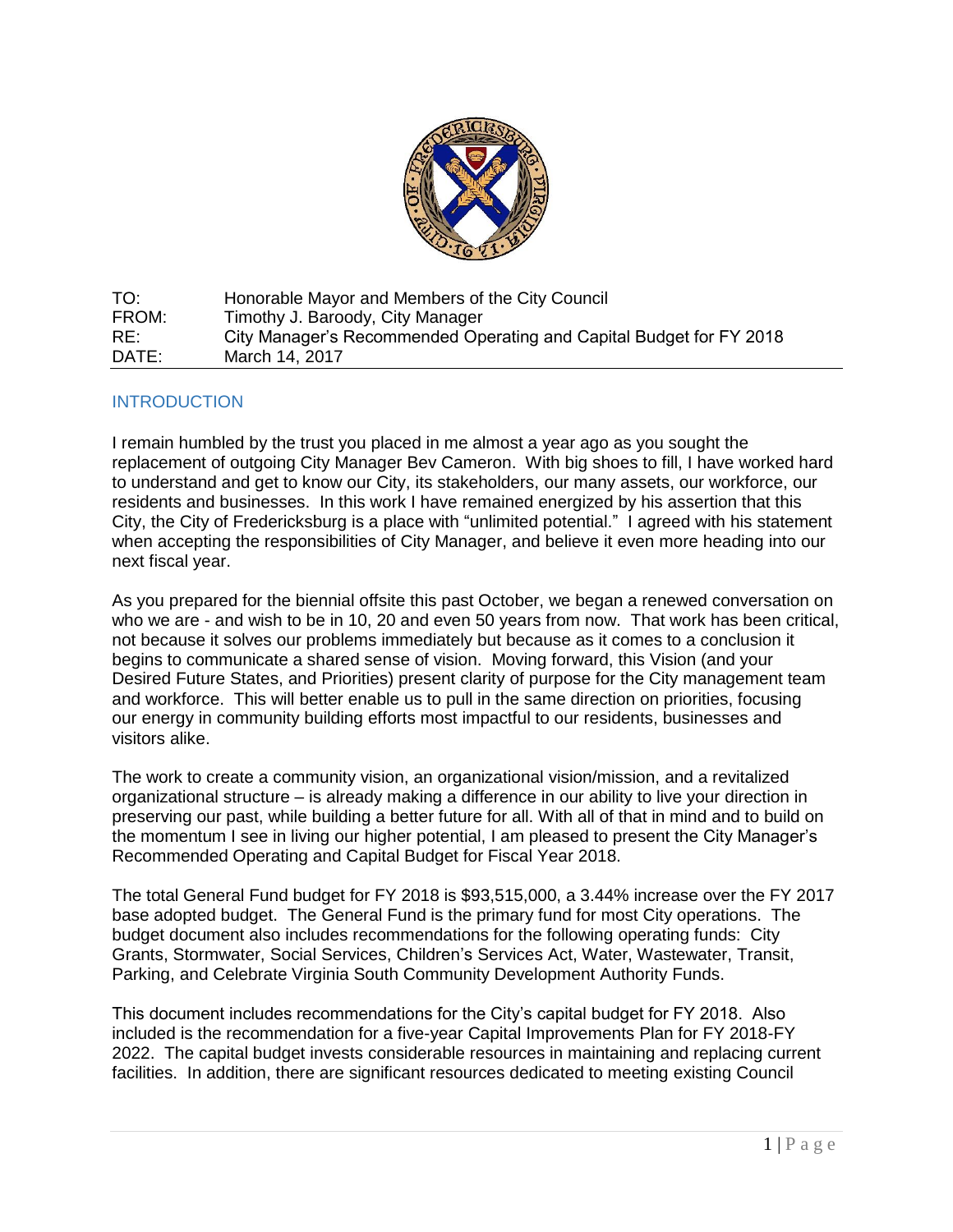

TO: Honorable Mayor and Members of the City Council FROM: Timothy J. Baroody, City Manager RE: City Manager's Recommended Operating and Capital Budget for FY 2018 DATE: March 14, 2017

# **INTRODUCTION**

I remain humbled by the trust you placed in me almost a year ago as you sought the replacement of outgoing City Manager Bev Cameron. With big shoes to fill, I have worked hard to understand and get to know our City, its stakeholders, our many assets, our workforce, our residents and businesses. In this work I have remained energized by his assertion that this City, the City of Fredericksburg is a place with "unlimited potential." I agreed with his statement when accepting the responsibilities of City Manager, and believe it even more heading into our next fiscal year.

As you prepared for the biennial offsite this past October, we began a renewed conversation on who we are - and wish to be in 10, 20 and even 50 years from now. That work has been critical, not because it solves our problems immediately but because as it comes to a conclusion it begins to communicate a shared sense of vision. Moving forward, this Vision (and your Desired Future States, and Priorities) present clarity of purpose for the City management team and workforce. This will better enable us to pull in the same direction on priorities, focusing our energy in community building efforts most impactful to our residents, businesses and visitors alike.

The work to create a community vision, an organizational vision/mission, and a revitalized organizational structure – is already making a difference in our ability to live your direction in preserving our past, while building a better future for all. With all of that in mind and to build on the momentum I see in living our higher potential, I am pleased to present the City Manager's Recommended Operating and Capital Budget for Fiscal Year 2018.

The total General Fund budget for FY 2018 is \$93,515,000, a 3.44% increase over the FY 2017 base adopted budget. The General Fund is the primary fund for most City operations. The budget document also includes recommendations for the following operating funds: City Grants, Stormwater, Social Services, Children's Services Act, Water, Wastewater, Transit, Parking, and Celebrate Virginia South Community Development Authority Funds.

This document includes recommendations for the City's capital budget for FY 2018. Also included is the recommendation for a five-year Capital Improvements Plan for FY 2018-FY 2022. The capital budget invests considerable resources in maintaining and replacing current facilities. In addition, there are significant resources dedicated to meeting existing Council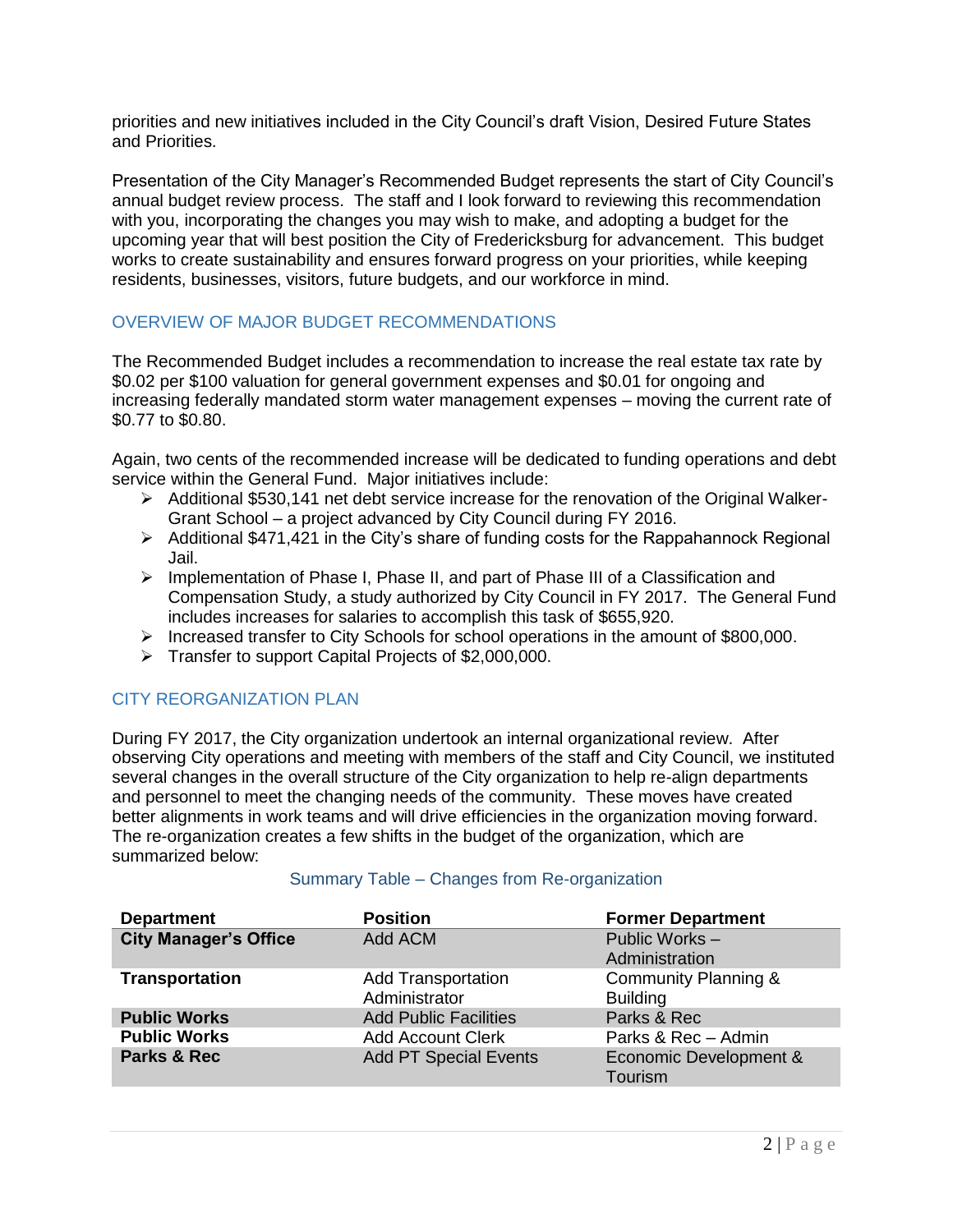priorities and new initiatives included in the City Council's draft Vision, Desired Future States and Priorities.

Presentation of the City Manager's Recommended Budget represents the start of City Council's annual budget review process. The staff and I look forward to reviewing this recommendation with you, incorporating the changes you may wish to make, and adopting a budget for the upcoming year that will best position the City of Fredericksburg for advancement. This budget works to create sustainability and ensures forward progress on your priorities, while keeping residents, businesses, visitors, future budgets, and our workforce in mind.

# OVERVIEW OF MAJOR BUDGET RECOMMENDATIONS

The Recommended Budget includes a recommendation to increase the real estate tax rate by \$0.02 per \$100 valuation for general government expenses and \$0.01 for ongoing and increasing federally mandated storm water management expenses – moving the current rate of \$0.77 to \$0.80.

Again, two cents of the recommended increase will be dedicated to funding operations and debt service within the General Fund. Major initiatives include:

- $\triangleright$  Additional \$530,141 net debt service increase for the renovation of the Original Walker-Grant School – a project advanced by City Council during FY 2016.
- $\triangleright$  Additional \$471,421 in the City's share of funding costs for the Rappahannock Regional Jail.
- $\triangleright$  Implementation of Phase I, Phase II, and part of Phase III of a Classification and Compensation Study, a study authorized by City Council in FY 2017. The General Fund includes increases for salaries to accomplish this task of \$655,920.
- Increased transfer to City Schools for school operations in the amount of  $$800,000$ .
- Fransfer to support Capital Projects of \$2,000,000.

# CITY REORGANIZATION PLAN

During FY 2017, the City organization undertook an internal organizational review. After observing City operations and meeting with members of the staff and City Council, we instituted several changes in the overall structure of the City organization to help re-align departments and personnel to meet the changing needs of the community. These moves have created better alignments in work teams and will drive efficiencies in the organization moving forward. The re-organization creates a few shifts in the budget of the organization, which are summarized below:

| <b>Department</b>            | <b>Position</b>                            | <b>Former Department</b>                |
|------------------------------|--------------------------------------------|-----------------------------------------|
| <b>City Manager's Office</b> | Add ACM                                    | Public Works-<br>Administration         |
| <b>Transportation</b>        | <b>Add Transportation</b><br>Administrator | Community Planning &<br><b>Building</b> |
| <b>Public Works</b>          | <b>Add Public Facilities</b>               | Parks & Rec                             |
| <b>Public Works</b>          | <b>Add Account Clerk</b>                   | Parks & Rec - Admin                     |
| Parks & Rec                  | <b>Add PT Special Events</b>               | Economic Development &<br>Tourism       |

### Summary Table – Changes from Re-organization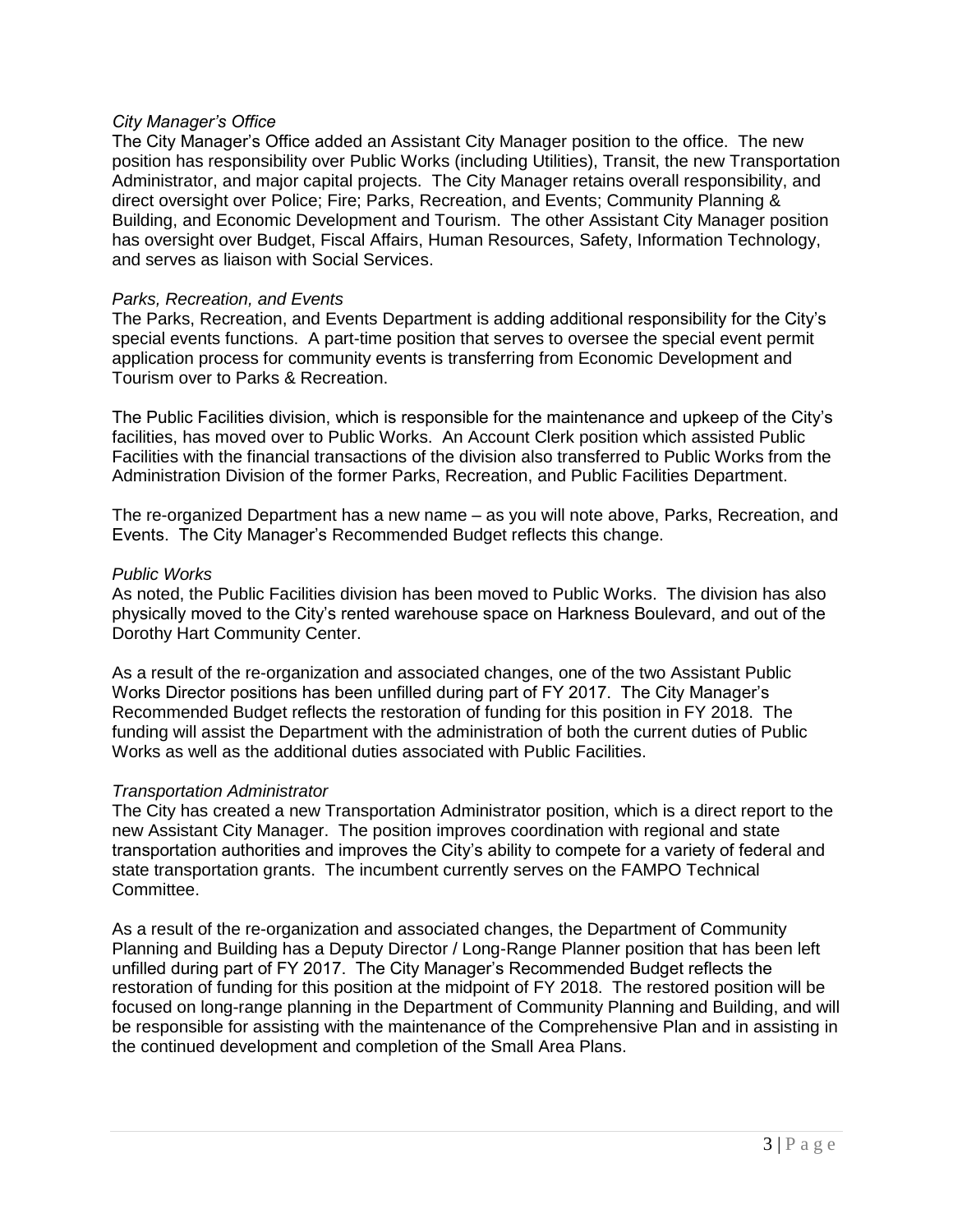### *City Manager's Office*

The City Manager's Office added an Assistant City Manager position to the office. The new position has responsibility over Public Works (including Utilities), Transit, the new Transportation Administrator, and major capital projects. The City Manager retains overall responsibility, and direct oversight over Police; Fire; Parks, Recreation, and Events; Community Planning & Building, and Economic Development and Tourism. The other Assistant City Manager position has oversight over Budget, Fiscal Affairs, Human Resources, Safety, Information Technology, and serves as liaison with Social Services.

### *Parks, Recreation, and Events*

The Parks, Recreation, and Events Department is adding additional responsibility for the City's special events functions. A part-time position that serves to oversee the special event permit application process for community events is transferring from Economic Development and Tourism over to Parks & Recreation.

The Public Facilities division, which is responsible for the maintenance and upkeep of the City's facilities, has moved over to Public Works. An Account Clerk position which assisted Public Facilities with the financial transactions of the division also transferred to Public Works from the Administration Division of the former Parks, Recreation, and Public Facilities Department.

The re-organized Department has a new name – as you will note above, Parks, Recreation, and Events. The City Manager's Recommended Budget reflects this change.

### *Public Works*

As noted, the Public Facilities division has been moved to Public Works. The division has also physically moved to the City's rented warehouse space on Harkness Boulevard, and out of the Dorothy Hart Community Center.

As a result of the re-organization and associated changes, one of the two Assistant Public Works Director positions has been unfilled during part of FY 2017. The City Manager's Recommended Budget reflects the restoration of funding for this position in FY 2018. The funding will assist the Department with the administration of both the current duties of Public Works as well as the additional duties associated with Public Facilities.

# *Transportation Administrator*

The City has created a new Transportation Administrator position, which is a direct report to the new Assistant City Manager. The position improves coordination with regional and state transportation authorities and improves the City's ability to compete for a variety of federal and state transportation grants. The incumbent currently serves on the FAMPO Technical Committee.

As a result of the re-organization and associated changes, the Department of Community Planning and Building has a Deputy Director / Long-Range Planner position that has been left unfilled during part of FY 2017. The City Manager's Recommended Budget reflects the restoration of funding for this position at the midpoint of FY 2018. The restored position will be focused on long-range planning in the Department of Community Planning and Building, and will be responsible for assisting with the maintenance of the Comprehensive Plan and in assisting in the continued development and completion of the Small Area Plans.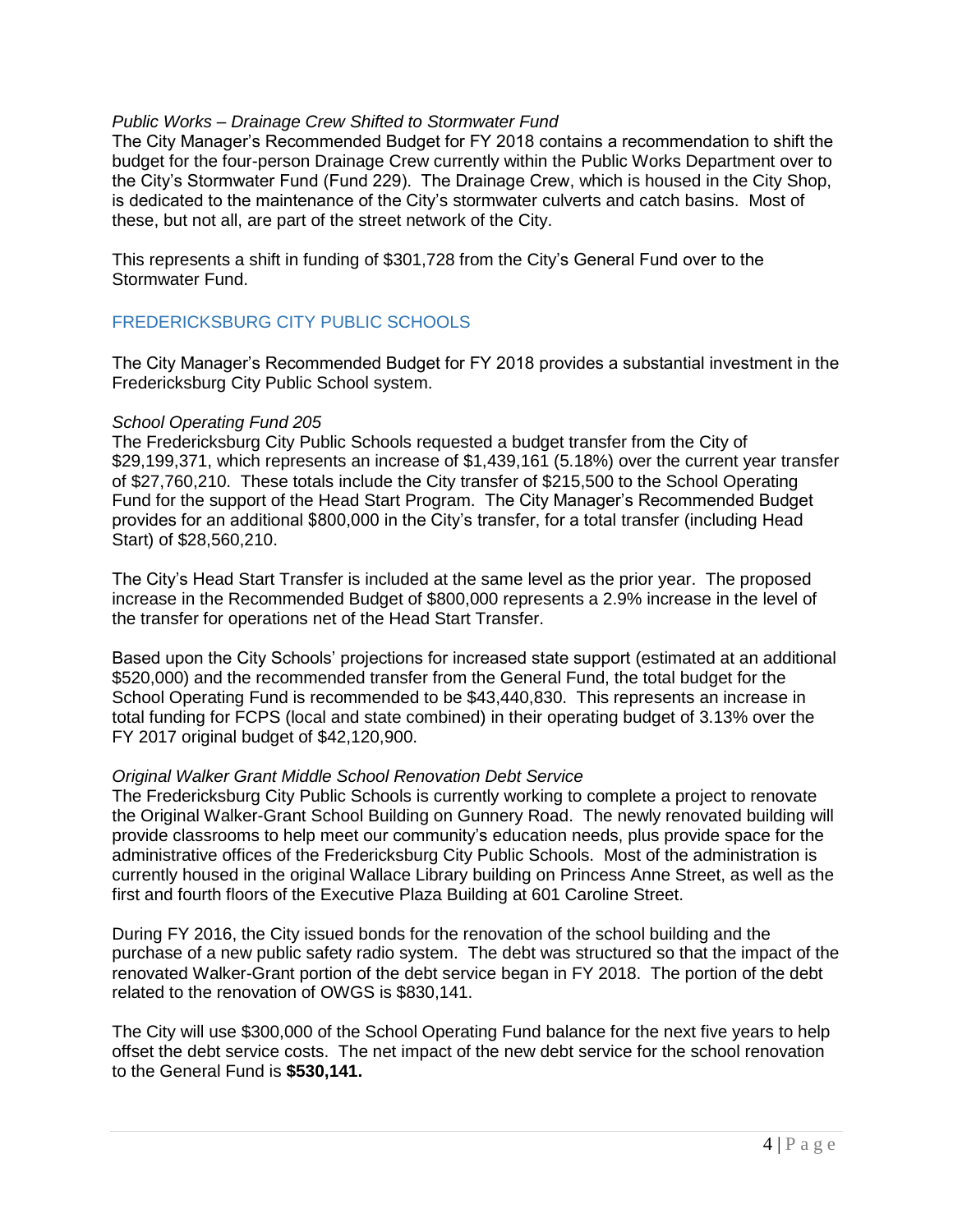### *Public Works – Drainage Crew Shifted to Stormwater Fund*

The City Manager's Recommended Budget for FY 2018 contains a recommendation to shift the budget for the four-person Drainage Crew currently within the Public Works Department over to the City's Stormwater Fund (Fund 229). The Drainage Crew, which is housed in the City Shop, is dedicated to the maintenance of the City's stormwater culverts and catch basins. Most of these, but not all, are part of the street network of the City.

This represents a shift in funding of \$301,728 from the City's General Fund over to the Stormwater Fund.

# FREDERICKSBURG CITY PUBLIC SCHOOLS

The City Manager's Recommended Budget for FY 2018 provides a substantial investment in the Fredericksburg City Public School system.

### *School Operating Fund 205*

The Fredericksburg City Public Schools requested a budget transfer from the City of \$29,199,371, which represents an increase of \$1,439,161 (5.18%) over the current year transfer of \$27,760,210. These totals include the City transfer of \$215,500 to the School Operating Fund for the support of the Head Start Program. The City Manager's Recommended Budget provides for an additional \$800,000 in the City's transfer, for a total transfer (including Head Start) of \$28,560,210.

The City's Head Start Transfer is included at the same level as the prior year. The proposed increase in the Recommended Budget of \$800,000 represents a 2.9% increase in the level of the transfer for operations net of the Head Start Transfer.

Based upon the City Schools' projections for increased state support (estimated at an additional \$520,000) and the recommended transfer from the General Fund, the total budget for the School Operating Fund is recommended to be \$43,440,830. This represents an increase in total funding for FCPS (local and state combined) in their operating budget of 3.13% over the FY 2017 original budget of \$42,120,900.

### *Original Walker Grant Middle School Renovation Debt Service*

The Fredericksburg City Public Schools is currently working to complete a project to renovate the Original Walker-Grant School Building on Gunnery Road. The newly renovated building will provide classrooms to help meet our community's education needs, plus provide space for the administrative offices of the Fredericksburg City Public Schools. Most of the administration is currently housed in the original Wallace Library building on Princess Anne Street, as well as the first and fourth floors of the Executive Plaza Building at 601 Caroline Street.

During FY 2016, the City issued bonds for the renovation of the school building and the purchase of a new public safety radio system. The debt was structured so that the impact of the renovated Walker-Grant portion of the debt service began in FY 2018. The portion of the debt related to the renovation of OWGS is \$830,141.

The City will use \$300,000 of the School Operating Fund balance for the next five years to help offset the debt service costs. The net impact of the new debt service for the school renovation to the General Fund is **\$530,141.**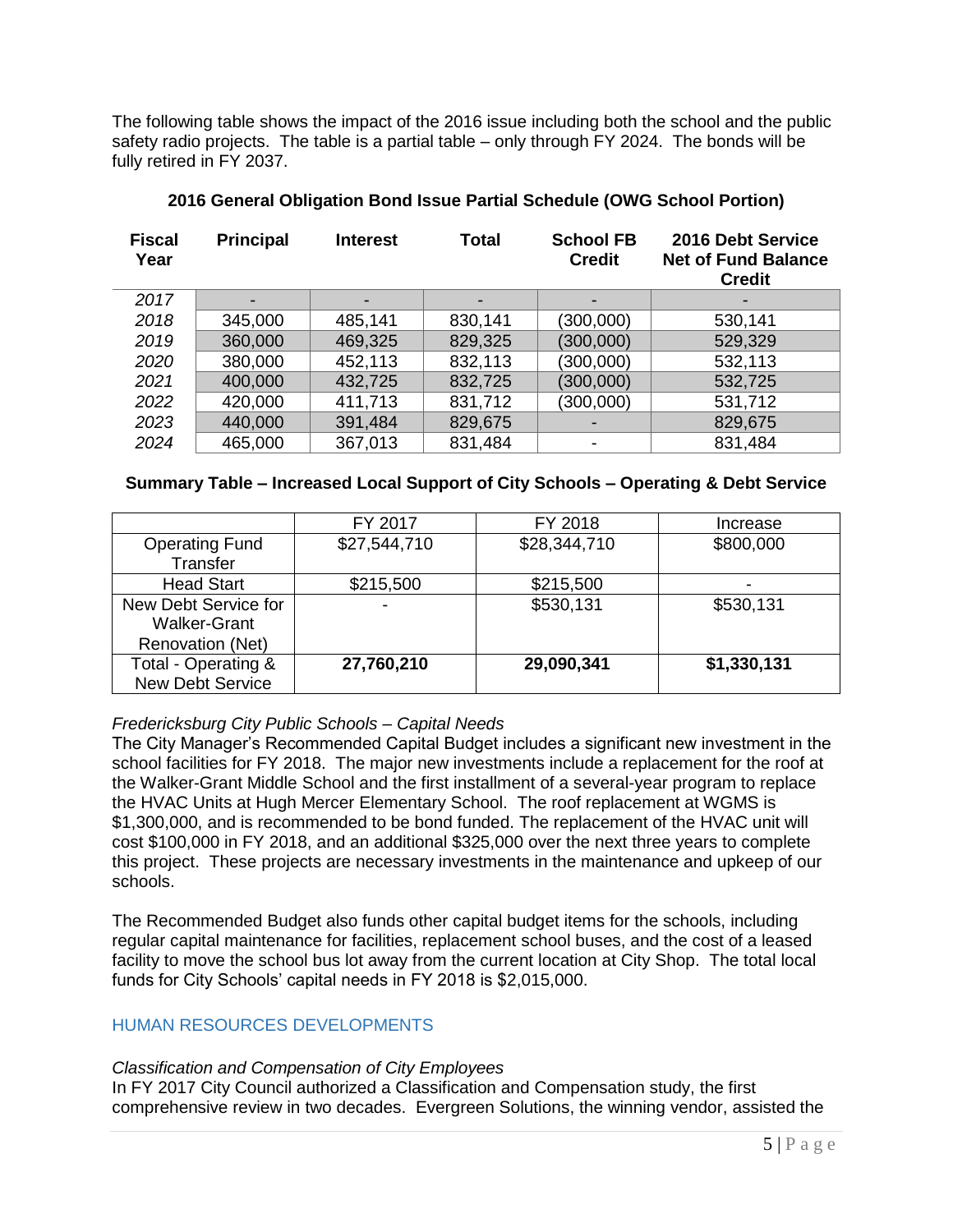The following table shows the impact of the 2016 issue including both the school and the public safety radio projects. The table is a partial table – only through FY 2024. The bonds will be fully retired in FY 2037.

| <b>Fiscal</b><br>Year | <b>Principal</b> | <b>Interest</b> | Total   | <b>School FB</b><br><b>Credit</b> | 2016 Debt Service<br><b>Net of Fund Balance</b><br><b>Credit</b> |
|-----------------------|------------------|-----------------|---------|-----------------------------------|------------------------------------------------------------------|
| 2017                  |                  |                 |         |                                   |                                                                  |
| 2018                  | 345,000          | 485,141         | 830,141 | (300,000)                         | 530,141                                                          |
| 2019                  | 360,000          | 469,325         | 829,325 | (300, 000)                        | 529,329                                                          |
| 2020                  | 380,000          | 452,113         | 832,113 | (300,000)                         | 532,113                                                          |
| 2021                  | 400,000          | 432,725         | 832,725 | (300, 000)                        | 532,725                                                          |
| 2022                  | 420,000          | 411,713         | 831,712 | (300,000)                         | 531,712                                                          |
| 2023                  | 440,000          | 391,484         | 829,675 |                                   | 829,675                                                          |
| 2024                  | 465,000          | 367,013         | 831,484 |                                   | 831,484                                                          |

# **2016 General Obligation Bond Issue Partial Schedule (OWG School Portion)**

# **Summary Table – Increased Local Support of City Schools – Operating & Debt Service**

|                         | FY 2017      | FY 2018      | Increase    |
|-------------------------|--------------|--------------|-------------|
| <b>Operating Fund</b>   | \$27,544,710 | \$28,344,710 | \$800,000   |
| Transfer                |              |              |             |
| <b>Head Start</b>       | \$215,500    | \$215,500    | -           |
| New Debt Service for    | -            | \$530,131    | \$530,131   |
| <b>Walker-Grant</b>     |              |              |             |
| <b>Renovation (Net)</b> |              |              |             |
| Total - Operating &     | 27,760,210   | 29,090,341   | \$1,330,131 |
| <b>New Debt Service</b> |              |              |             |

# *Fredericksburg City Public Schools – Capital Needs*

The City Manager's Recommended Capital Budget includes a significant new investment in the school facilities for FY 2018. The major new investments include a replacement for the roof at the Walker-Grant Middle School and the first installment of a several-year program to replace the HVAC Units at Hugh Mercer Elementary School. The roof replacement at WGMS is \$1,300,000, and is recommended to be bond funded. The replacement of the HVAC unit will cost \$100,000 in FY 2018, and an additional \$325,000 over the next three years to complete this project. These projects are necessary investments in the maintenance and upkeep of our schools.

The Recommended Budget also funds other capital budget items for the schools, including regular capital maintenance for facilities, replacement school buses, and the cost of a leased facility to move the school bus lot away from the current location at City Shop. The total local funds for City Schools' capital needs in FY 2018 is \$2,015,000.

### HUMAN RESOURCES DEVELOPMENTS

### *Classification and Compensation of City Employees*

In FY 2017 City Council authorized a Classification and Compensation study, the first comprehensive review in two decades. Evergreen Solutions, the winning vendor, assisted the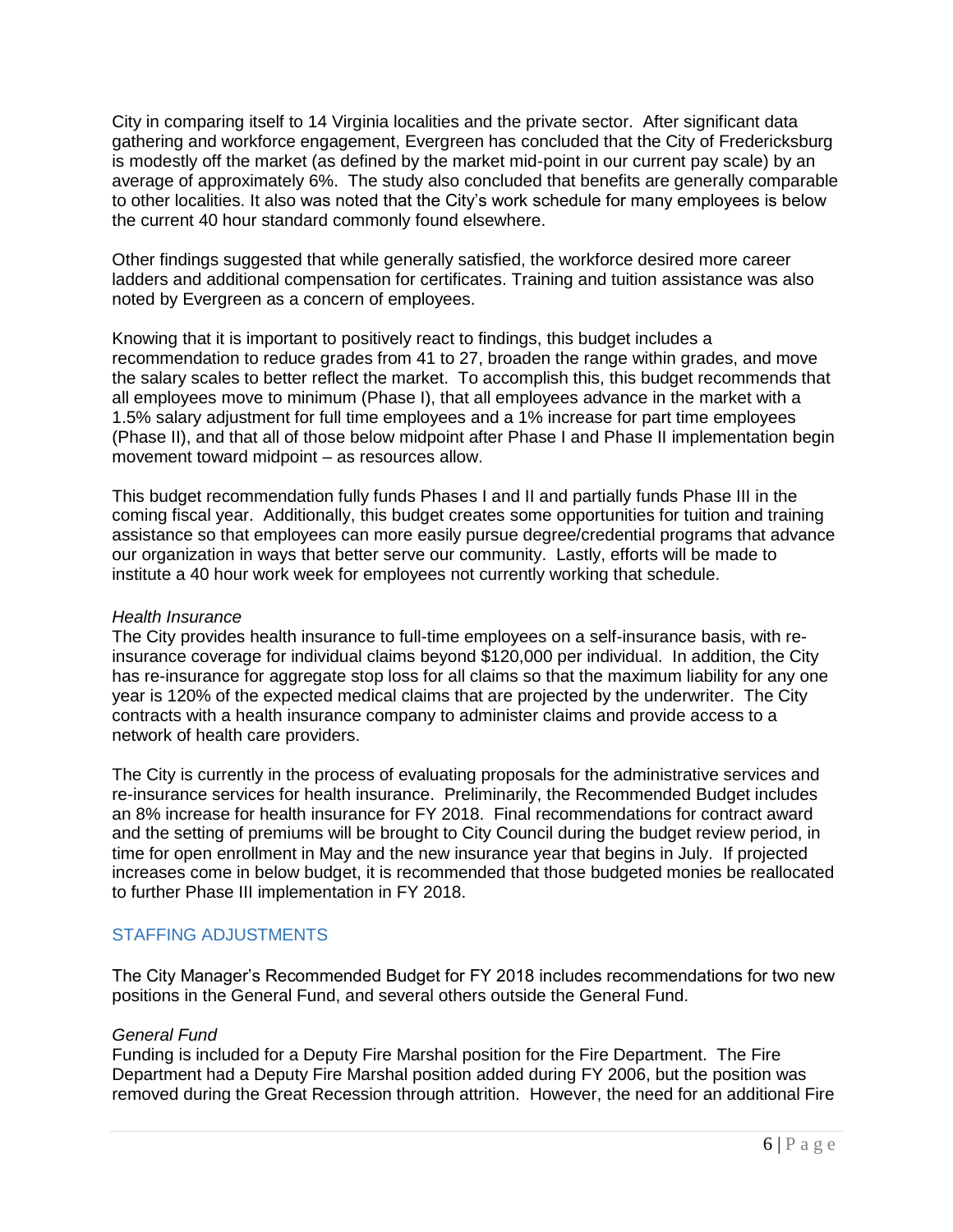City in comparing itself to 14 Virginia localities and the private sector. After significant data gathering and workforce engagement, Evergreen has concluded that the City of Fredericksburg is modestly off the market (as defined by the market mid-point in our current pay scale) by an average of approximately 6%. The study also concluded that benefits are generally comparable to other localities. It also was noted that the City's work schedule for many employees is below the current 40 hour standard commonly found elsewhere.

Other findings suggested that while generally satisfied, the workforce desired more career ladders and additional compensation for certificates. Training and tuition assistance was also noted by Evergreen as a concern of employees.

Knowing that it is important to positively react to findings, this budget includes a recommendation to reduce grades from 41 to 27, broaden the range within grades, and move the salary scales to better reflect the market. To accomplish this, this budget recommends that all employees move to minimum (Phase I), that all employees advance in the market with a 1.5% salary adjustment for full time employees and a 1% increase for part time employees (Phase II), and that all of those below midpoint after Phase I and Phase II implementation begin movement toward midpoint – as resources allow.

This budget recommendation fully funds Phases I and II and partially funds Phase III in the coming fiscal year. Additionally, this budget creates some opportunities for tuition and training assistance so that employees can more easily pursue degree/credential programs that advance our organization in ways that better serve our community. Lastly, efforts will be made to institute a 40 hour work week for employees not currently working that schedule.

### *Health Insurance*

The City provides health insurance to full-time employees on a self-insurance basis, with reinsurance coverage for individual claims beyond \$120,000 per individual. In addition, the City has re-insurance for aggregate stop loss for all claims so that the maximum liability for any one year is 120% of the expected medical claims that are projected by the underwriter. The City contracts with a health insurance company to administer claims and provide access to a network of health care providers.

The City is currently in the process of evaluating proposals for the administrative services and re-insurance services for health insurance. Preliminarily, the Recommended Budget includes an 8% increase for health insurance for FY 2018. Final recommendations for contract award and the setting of premiums will be brought to City Council during the budget review period, in time for open enrollment in May and the new insurance year that begins in July. If projected increases come in below budget, it is recommended that those budgeted monies be reallocated to further Phase III implementation in FY 2018.

# STAFFING ADJUSTMENTS

The City Manager's Recommended Budget for FY 2018 includes recommendations for two new positions in the General Fund, and several others outside the General Fund.

# *General Fund*

Funding is included for a Deputy Fire Marshal position for the Fire Department. The Fire Department had a Deputy Fire Marshal position added during FY 2006, but the position was removed during the Great Recession through attrition. However, the need for an additional Fire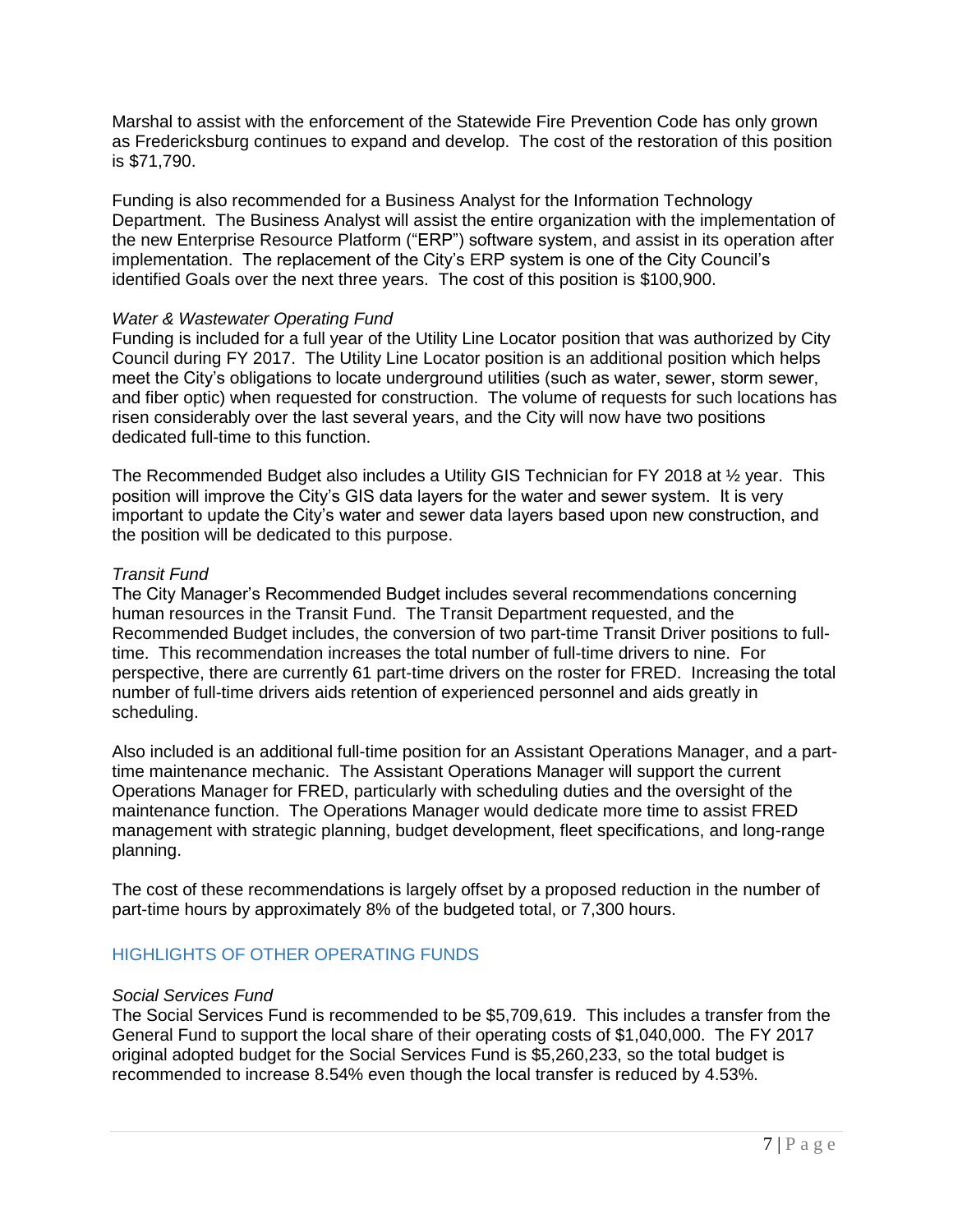Marshal to assist with the enforcement of the Statewide Fire Prevention Code has only grown as Fredericksburg continues to expand and develop. The cost of the restoration of this position is \$71,790.

Funding is also recommended for a Business Analyst for the Information Technology Department. The Business Analyst will assist the entire organization with the implementation of the new Enterprise Resource Platform ("ERP") software system, and assist in its operation after implementation. The replacement of the City's ERP system is one of the City Council's identified Goals over the next three years. The cost of this position is \$100,900.

### *Water & Wastewater Operating Fund*

Funding is included for a full year of the Utility Line Locator position that was authorized by City Council during FY 2017. The Utility Line Locator position is an additional position which helps meet the City's obligations to locate underground utilities (such as water, sewer, storm sewer, and fiber optic) when requested for construction. The volume of requests for such locations has risen considerably over the last several years, and the City will now have two positions dedicated full-time to this function.

The Recommended Budget also includes a Utility GIS Technician for FY 2018 at ½ year. This position will improve the City's GIS data layers for the water and sewer system. It is very important to update the City's water and sewer data layers based upon new construction, and the position will be dedicated to this purpose.

# *Transit Fund*

The City Manager's Recommended Budget includes several recommendations concerning human resources in the Transit Fund. The Transit Department requested, and the Recommended Budget includes, the conversion of two part-time Transit Driver positions to fulltime. This recommendation increases the total number of full-time drivers to nine. For perspective, there are currently 61 part-time drivers on the roster for FRED. Increasing the total number of full-time drivers aids retention of experienced personnel and aids greatly in scheduling.

Also included is an additional full-time position for an Assistant Operations Manager, and a parttime maintenance mechanic. The Assistant Operations Manager will support the current Operations Manager for FRED, particularly with scheduling duties and the oversight of the maintenance function. The Operations Manager would dedicate more time to assist FRED management with strategic planning, budget development, fleet specifications, and long-range planning.

The cost of these recommendations is largely offset by a proposed reduction in the number of part-time hours by approximately 8% of the budgeted total, or 7,300 hours.

# HIGHLIGHTS OF OTHER OPERATING FUNDS

### *Social Services Fund*

The Social Services Fund is recommended to be \$5,709,619. This includes a transfer from the General Fund to support the local share of their operating costs of \$1,040,000. The FY 2017 original adopted budget for the Social Services Fund is \$5,260,233, so the total budget is recommended to increase 8.54% even though the local transfer is reduced by 4.53%.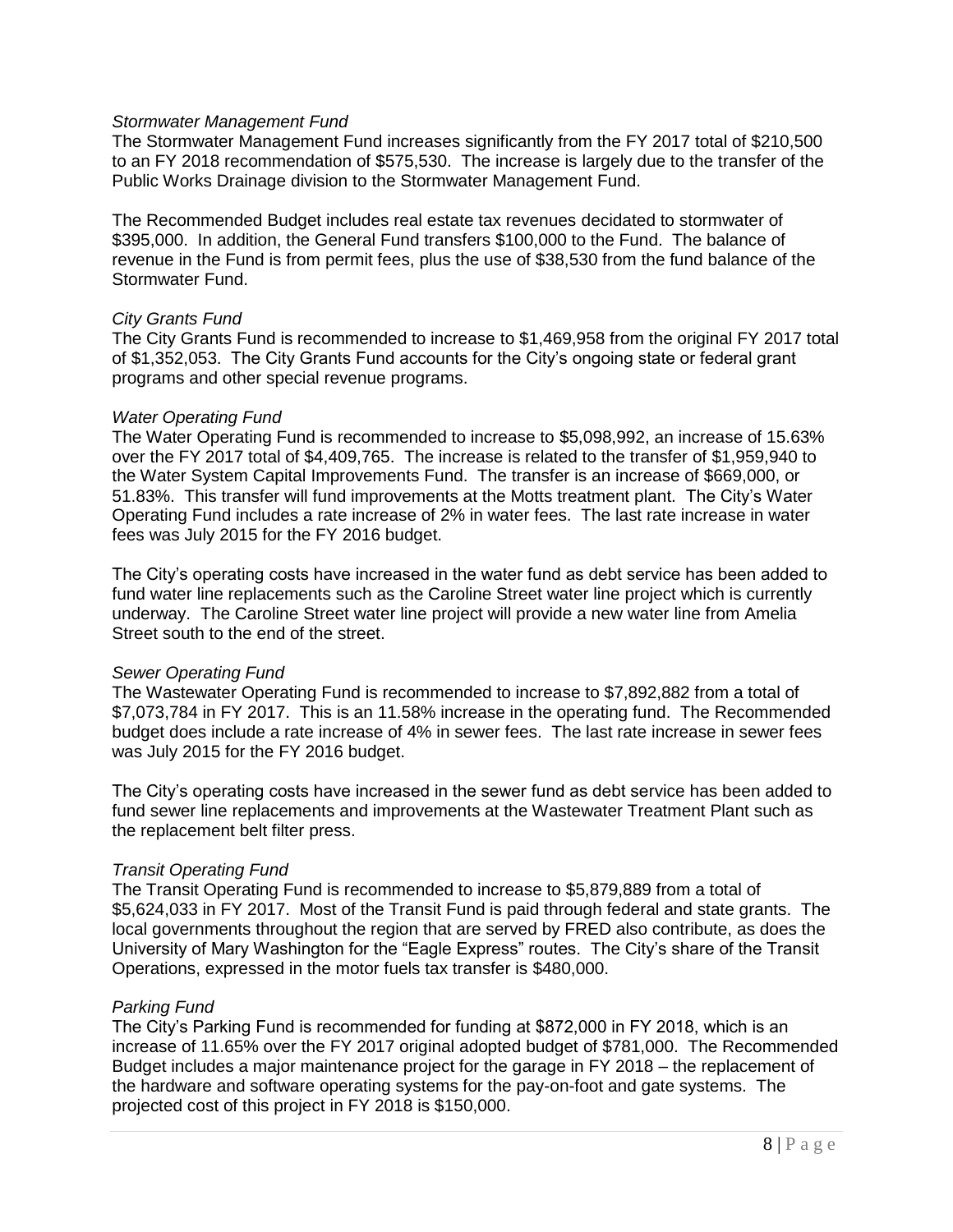### *Stormwater Management Fund*

The Stormwater Management Fund increases significantly from the FY 2017 total of \$210,500 to an FY 2018 recommendation of \$575,530. The increase is largely due to the transfer of the Public Works Drainage division to the Stormwater Management Fund.

The Recommended Budget includes real estate tax revenues decidated to stormwater of \$395,000. In addition, the General Fund transfers \$100,000 to the Fund. The balance of revenue in the Fund is from permit fees, plus the use of \$38,530 from the fund balance of the Stormwater Fund.

#### *City Grants Fund*

The City Grants Fund is recommended to increase to \$1,469,958 from the original FY 2017 total of \$1,352,053. The City Grants Fund accounts for the City's ongoing state or federal grant programs and other special revenue programs.

#### *Water Operating Fund*

The Water Operating Fund is recommended to increase to \$5,098,992, an increase of 15.63% over the FY 2017 total of \$4,409,765. The increase is related to the transfer of \$1,959,940 to the Water System Capital Improvements Fund. The transfer is an increase of \$669,000, or 51.83%. This transfer will fund improvements at the Motts treatment plant. The City's Water Operating Fund includes a rate increase of 2% in water fees. The last rate increase in water fees was July 2015 for the FY 2016 budget.

The City's operating costs have increased in the water fund as debt service has been added to fund water line replacements such as the Caroline Street water line project which is currently underway. The Caroline Street water line project will provide a new water line from Amelia Street south to the end of the street.

### *Sewer Operating Fund*

The Wastewater Operating Fund is recommended to increase to \$7,892,882 from a total of \$7,073,784 in FY 2017. This is an 11.58% increase in the operating fund. The Recommended budget does include a rate increase of 4% in sewer fees. The last rate increase in sewer fees was July 2015 for the FY 2016 budget.

The City's operating costs have increased in the sewer fund as debt service has been added to fund sewer line replacements and improvements at the Wastewater Treatment Plant such as the replacement belt filter press.

### *Transit Operating Fund*

The Transit Operating Fund is recommended to increase to \$5,879,889 from a total of \$5,624,033 in FY 2017. Most of the Transit Fund is paid through federal and state grants. The local governments throughout the region that are served by FRED also contribute, as does the University of Mary Washington for the "Eagle Express" routes. The City's share of the Transit Operations, expressed in the motor fuels tax transfer is \$480,000.

### *Parking Fund*

The City's Parking Fund is recommended for funding at \$872,000 in FY 2018, which is an increase of 11.65% over the FY 2017 original adopted budget of \$781,000. The Recommended Budget includes a major maintenance project for the garage in FY 2018 – the replacement of the hardware and software operating systems for the pay-on-foot and gate systems. The projected cost of this project in FY 2018 is \$150,000.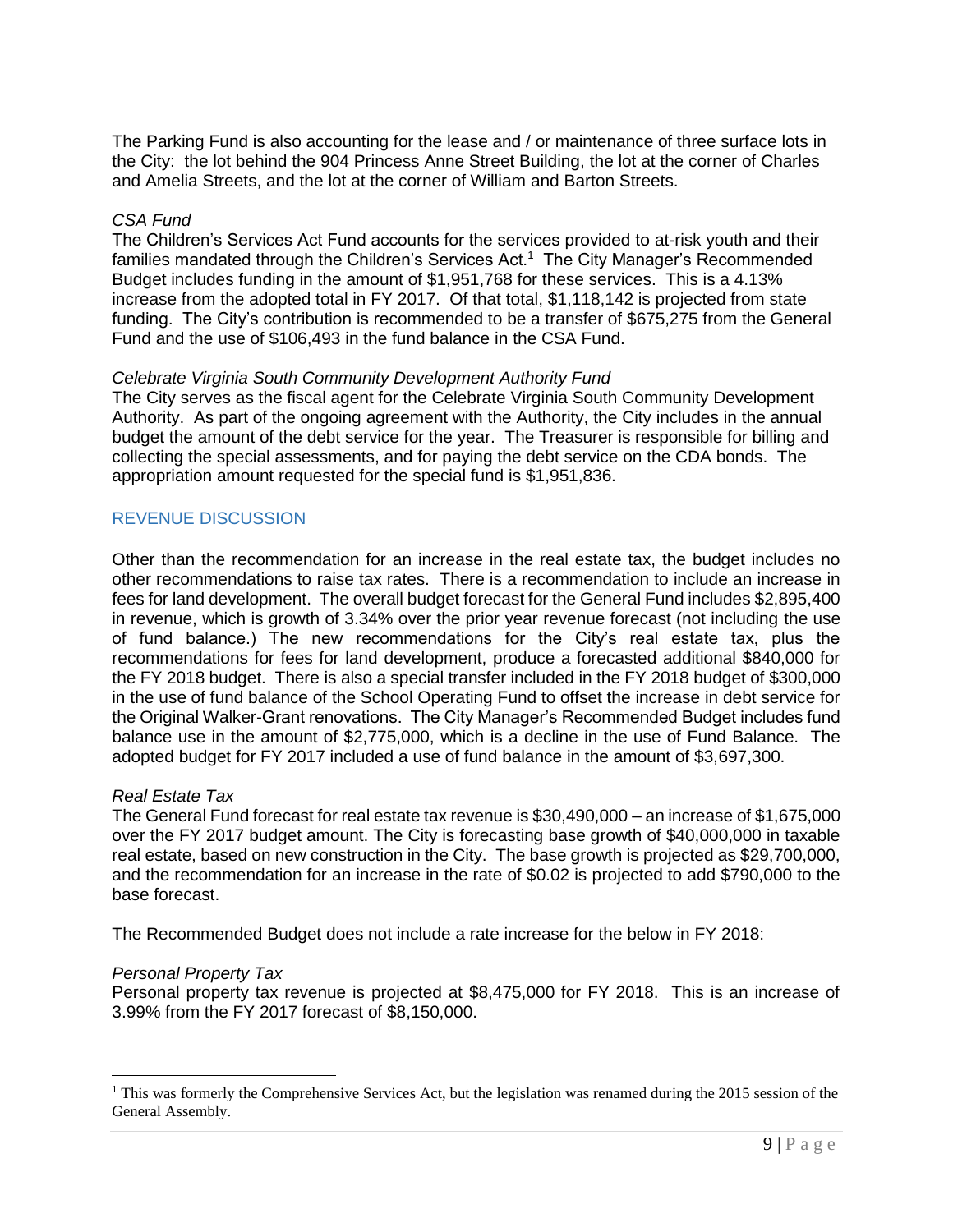The Parking Fund is also accounting for the lease and / or maintenance of three surface lots in the City: the lot behind the 904 Princess Anne Street Building, the lot at the corner of Charles and Amelia Streets, and the lot at the corner of William and Barton Streets.

### *CSA Fund*

The Children's Services Act Fund accounts for the services provided to at-risk youth and their families mandated through the Children's Services Act.<sup>1</sup> The City Manager's Recommended Budget includes funding in the amount of \$1,951,768 for these services. This is a 4.13% increase from the adopted total in FY 2017. Of that total, \$1,118,142 is projected from state funding. The City's contribution is recommended to be a transfer of \$675,275 from the General Fund and the use of \$106,493 in the fund balance in the CSA Fund.

# *Celebrate Virginia South Community Development Authority Fund*

The City serves as the fiscal agent for the Celebrate Virginia South Community Development Authority. As part of the ongoing agreement with the Authority, the City includes in the annual budget the amount of the debt service for the year. The Treasurer is responsible for billing and collecting the special assessments, and for paying the debt service on the CDA bonds. The appropriation amount requested for the special fund is \$1,951,836.

# REVENUE DISCUSSION

Other than the recommendation for an increase in the real estate tax, the budget includes no other recommendations to raise tax rates. There is a recommendation to include an increase in fees for land development. The overall budget forecast for the General Fund includes \$2,895,400 in revenue, which is growth of 3.34% over the prior year revenue forecast (not including the use of fund balance.) The new recommendations for the City's real estate tax, plus the recommendations for fees for land development, produce a forecasted additional \$840,000 for the FY 2018 budget. There is also a special transfer included in the FY 2018 budget of \$300,000 in the use of fund balance of the School Operating Fund to offset the increase in debt service for the Original Walker-Grant renovations. The City Manager's Recommended Budget includes fund balance use in the amount of \$2,775,000, which is a decline in the use of Fund Balance. The adopted budget for FY 2017 included a use of fund balance in the amount of \$3,697,300.

# *Real Estate Tax*

The General Fund forecast for real estate tax revenue is \$30,490,000 – an increase of \$1,675,000 over the FY 2017 budget amount. The City is forecasting base growth of \$40,000,000 in taxable real estate, based on new construction in the City. The base growth is projected as \$29,700,000, and the recommendation for an increase in the rate of \$0.02 is projected to add \$790,000 to the base forecast.

The Recommended Budget does not include a rate increase for the below in FY 2018:

### *Personal Property Tax*

 $\overline{a}$ 

Personal property tax revenue is projected at \$8,475,000 for FY 2018. This is an increase of 3.99% from the FY 2017 forecast of \$8,150,000.

 $1$  This was formerly the Comprehensive Services Act, but the legislation was renamed during the 2015 session of the General Assembly.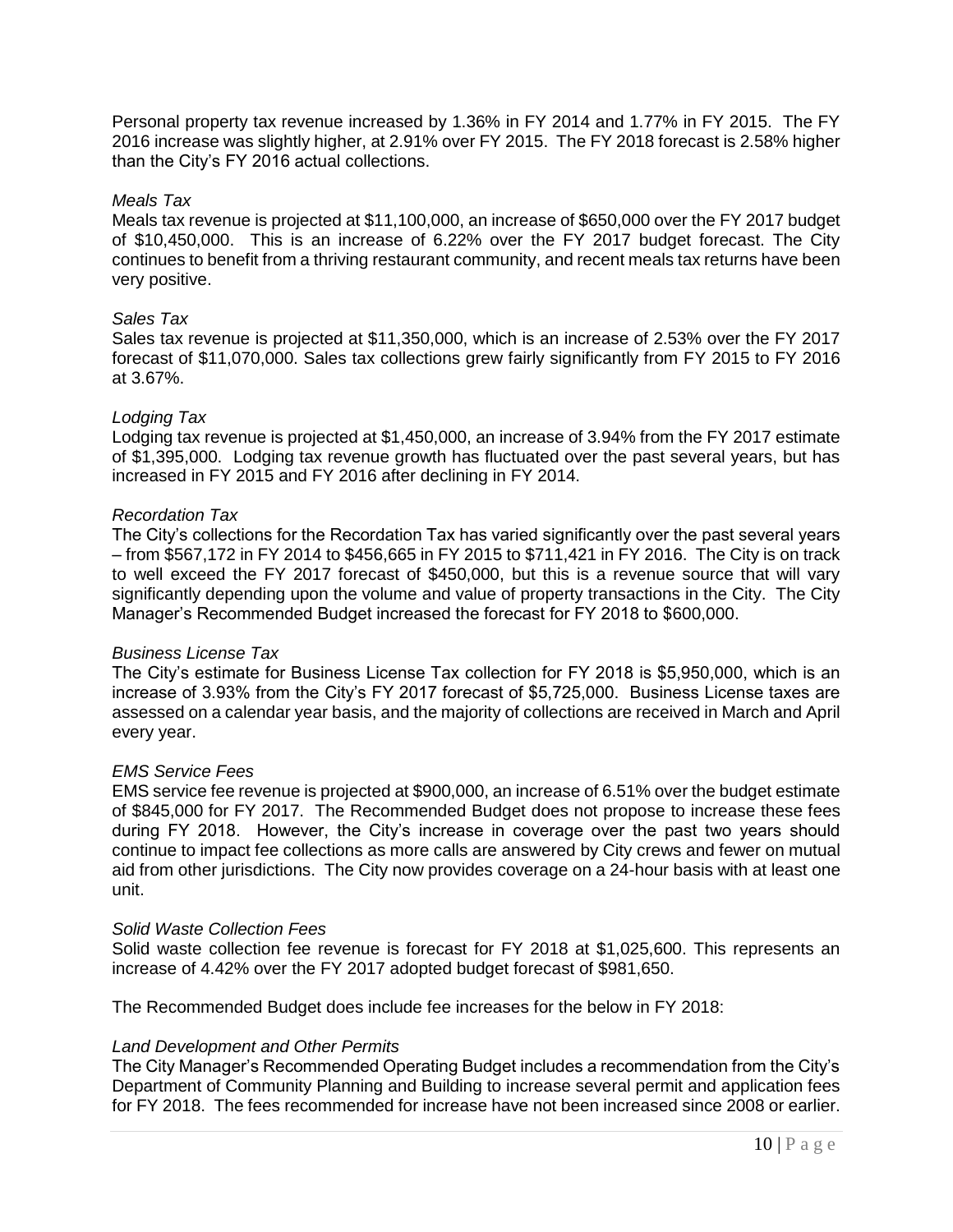Personal property tax revenue increased by 1.36% in FY 2014 and 1.77% in FY 2015. The FY 2016 increase was slightly higher, at 2.91% over FY 2015. The FY 2018 forecast is 2.58% higher than the City's FY 2016 actual collections.

### *Meals Tax*

Meals tax revenue is projected at \$11,100,000, an increase of \$650,000 over the FY 2017 budget of \$10,450,000. This is an increase of 6.22% over the FY 2017 budget forecast. The City continues to benefit from a thriving restaurant community, and recent meals tax returns have been very positive.

### *Sales Tax*

Sales tax revenue is projected at \$11,350,000, which is an increase of 2.53% over the FY 2017 forecast of \$11,070,000. Sales tax collections grew fairly significantly from FY 2015 to FY 2016 at 3.67%.

### *Lodging Tax*

Lodging tax revenue is projected at \$1,450,000, an increase of 3.94% from the FY 2017 estimate of \$1,395,000. Lodging tax revenue growth has fluctuated over the past several years, but has increased in FY 2015 and FY 2016 after declining in FY 2014.

### *Recordation Tax*

The City's collections for the Recordation Tax has varied significantly over the past several years – from \$567,172 in FY 2014 to \$456,665 in FY 2015 to \$711,421 in FY 2016. The City is on track to well exceed the FY 2017 forecast of \$450,000, but this is a revenue source that will vary significantly depending upon the volume and value of property transactions in the City. The City Manager's Recommended Budget increased the forecast for FY 2018 to \$600,000.

### *Business License Tax*

The City's estimate for Business License Tax collection for FY 2018 is \$5,950,000, which is an increase of 3.93% from the City's FY 2017 forecast of \$5,725,000. Business License taxes are assessed on a calendar year basis, and the majority of collections are received in March and April every year.

### *EMS Service Fees*

EMS service fee revenue is projected at \$900,000, an increase of 6.51% over the budget estimate of \$845,000 for FY 2017. The Recommended Budget does not propose to increase these fees during FY 2018. However, the City's increase in coverage over the past two years should continue to impact fee collections as more calls are answered by City crews and fewer on mutual aid from other jurisdictions. The City now provides coverage on a 24-hour basis with at least one unit.

### *Solid Waste Collection Fees*

Solid waste collection fee revenue is forecast for FY 2018 at \$1,025,600. This represents an increase of 4.42% over the FY 2017 adopted budget forecast of \$981,650.

The Recommended Budget does include fee increases for the below in FY 2018:

### *Land Development and Other Permits*

The City Manager's Recommended Operating Budget includes a recommendation from the City's Department of Community Planning and Building to increase several permit and application fees for FY 2018. The fees recommended for increase have not been increased since 2008 or earlier.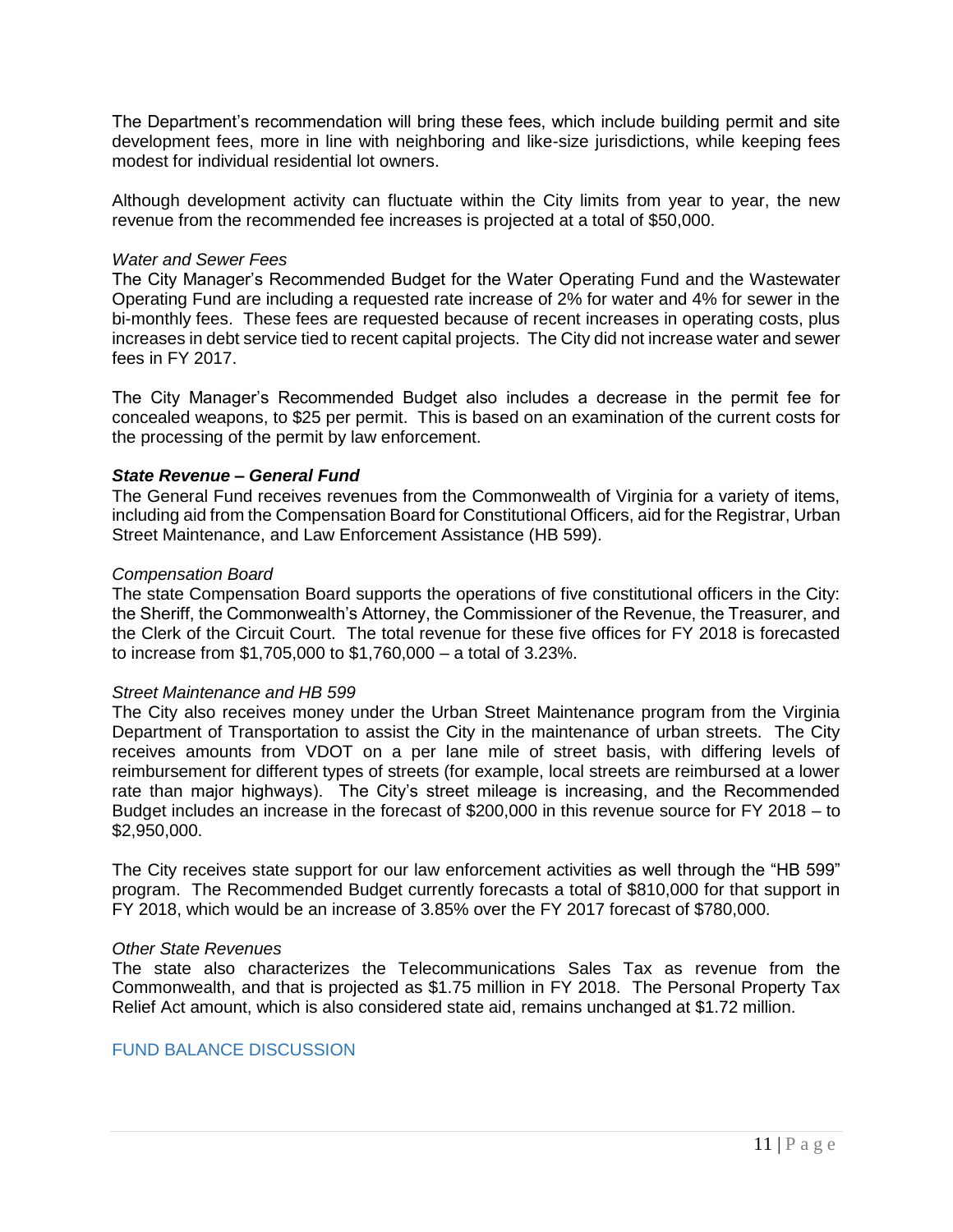The Department's recommendation will bring these fees, which include building permit and site development fees, more in line with neighboring and like-size jurisdictions, while keeping fees modest for individual residential lot owners.

Although development activity can fluctuate within the City limits from year to year, the new revenue from the recommended fee increases is projected at a total of \$50,000.

### *Water and Sewer Fees*

The City Manager's Recommended Budget for the Water Operating Fund and the Wastewater Operating Fund are including a requested rate increase of 2% for water and 4% for sewer in the bi-monthly fees. These fees are requested because of recent increases in operating costs, plus increases in debt service tied to recent capital projects. The City did not increase water and sewer fees in FY 2017.

The City Manager's Recommended Budget also includes a decrease in the permit fee for concealed weapons, to \$25 per permit. This is based on an examination of the current costs for the processing of the permit by law enforcement.

# *State Revenue – General Fund*

The General Fund receives revenues from the Commonwealth of Virginia for a variety of items, including aid from the Compensation Board for Constitutional Officers, aid for the Registrar, Urban Street Maintenance, and Law Enforcement Assistance (HB 599).

### *Compensation Board*

The state Compensation Board supports the operations of five constitutional officers in the City: the Sheriff, the Commonwealth's Attorney, the Commissioner of the Revenue, the Treasurer, and the Clerk of the Circuit Court. The total revenue for these five offices for FY 2018 is forecasted to increase from \$1,705,000 to \$1,760,000 – a total of 3.23%.

### *Street Maintenance and HB 599*

The City also receives money under the Urban Street Maintenance program from the Virginia Department of Transportation to assist the City in the maintenance of urban streets. The City receives amounts from VDOT on a per lane mile of street basis, with differing levels of reimbursement for different types of streets (for example, local streets are reimbursed at a lower rate than major highways). The City's street mileage is increasing, and the Recommended Budget includes an increase in the forecast of \$200,000 in this revenue source for FY 2018 – to \$2,950,000.

The City receives state support for our law enforcement activities as well through the "HB 599" program. The Recommended Budget currently forecasts a total of \$810,000 for that support in FY 2018, which would be an increase of 3.85% over the FY 2017 forecast of \$780,000.

### *Other State Revenues*

The state also characterizes the Telecommunications Sales Tax as revenue from the Commonwealth, and that is projected as \$1.75 million in FY 2018. The Personal Property Tax Relief Act amount, which is also considered state aid, remains unchanged at \$1.72 million.

# FUND BALANCE DISCUSSION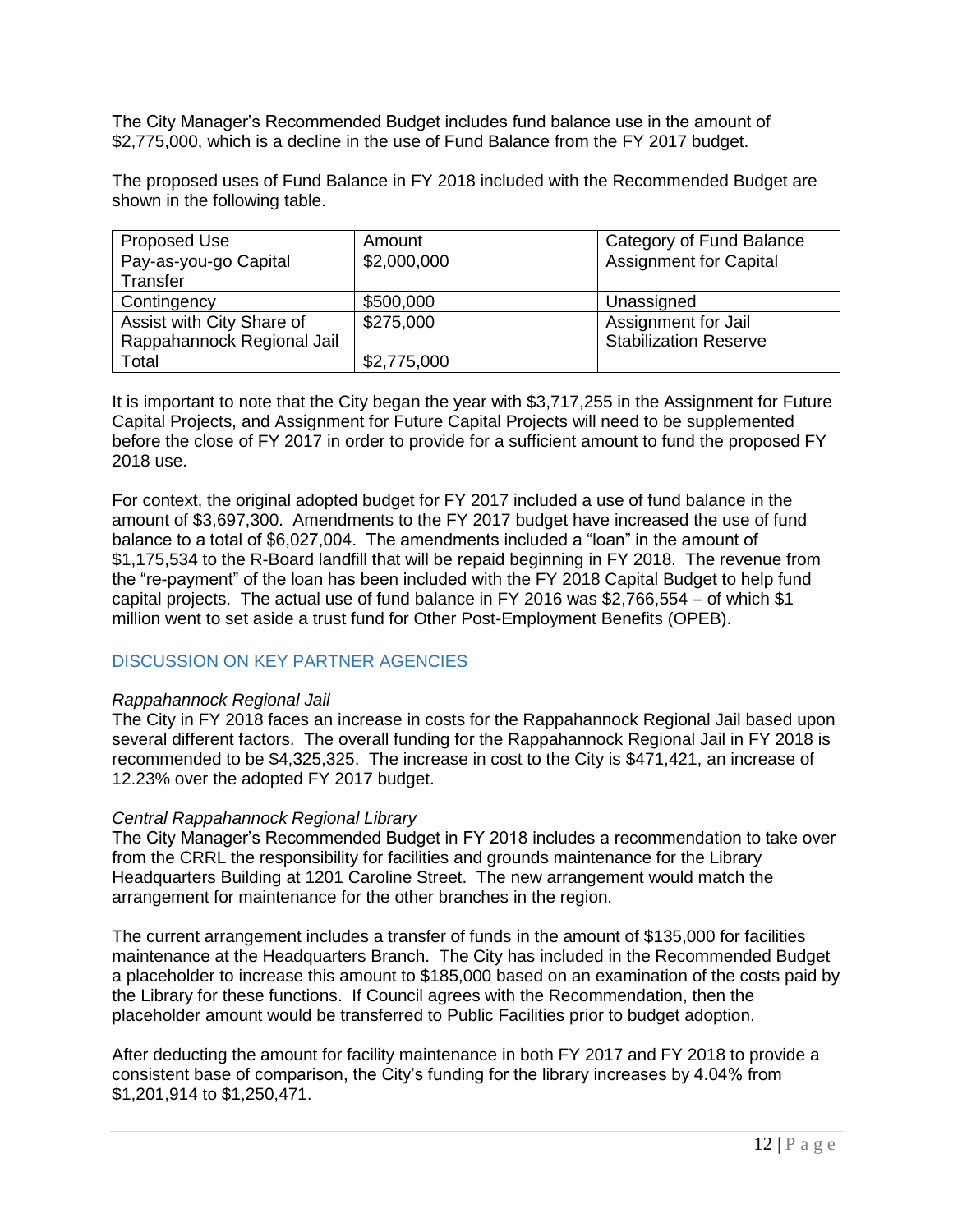The City Manager's Recommended Budget includes fund balance use in the amount of \$2,775,000, which is a decline in the use of Fund Balance from the FY 2017 budget.

The proposed uses of Fund Balance in FY 2018 included with the Recommended Budget are shown in the following table.

| Proposed Use               | Amount      | Category of Fund Balance      |
|----------------------------|-------------|-------------------------------|
| Pay-as-you-go Capital      | \$2,000,000 | <b>Assignment for Capital</b> |
| Transfer                   |             |                               |
| Contingency                | \$500,000   | Unassigned                    |
| Assist with City Share of  | \$275,000   | Assignment for Jail           |
| Rappahannock Regional Jail |             | <b>Stabilization Reserve</b>  |
| Total                      | \$2,775,000 |                               |

It is important to note that the City began the year with \$3,717,255 in the Assignment for Future Capital Projects, and Assignment for Future Capital Projects will need to be supplemented before the close of FY 2017 in order to provide for a sufficient amount to fund the proposed FY 2018 use.

For context, the original adopted budget for FY 2017 included a use of fund balance in the amount of \$3,697,300. Amendments to the FY 2017 budget have increased the use of fund balance to a total of \$6,027,004. The amendments included a "loan" in the amount of \$1,175,534 to the R-Board landfill that will be repaid beginning in FY 2018. The revenue from the "re-payment" of the loan has been included with the FY 2018 Capital Budget to help fund capital projects. The actual use of fund balance in FY 2016 was \$2,766,554 – of which \$1 million went to set aside a trust fund for Other Post-Employment Benefits (OPEB).

# DISCUSSION ON KEY PARTNER AGENCIES

### *Rappahannock Regional Jail*

The City in FY 2018 faces an increase in costs for the Rappahannock Regional Jail based upon several different factors. The overall funding for the Rappahannock Regional Jail in FY 2018 is recommended to be \$4,325,325. The increase in cost to the City is \$471,421, an increase of 12.23% over the adopted FY 2017 budget.

### *Central Rappahannock Regional Library*

The City Manager's Recommended Budget in FY 2018 includes a recommendation to take over from the CRRL the responsibility for facilities and grounds maintenance for the Library Headquarters Building at 1201 Caroline Street. The new arrangement would match the arrangement for maintenance for the other branches in the region.

The current arrangement includes a transfer of funds in the amount of \$135,000 for facilities maintenance at the Headquarters Branch. The City has included in the Recommended Budget a placeholder to increase this amount to \$185,000 based on an examination of the costs paid by the Library for these functions. If Council agrees with the Recommendation, then the placeholder amount would be transferred to Public Facilities prior to budget adoption.

After deducting the amount for facility maintenance in both FY 2017 and FY 2018 to provide a consistent base of comparison, the City's funding for the library increases by 4.04% from \$1,201,914 to \$1,250,471.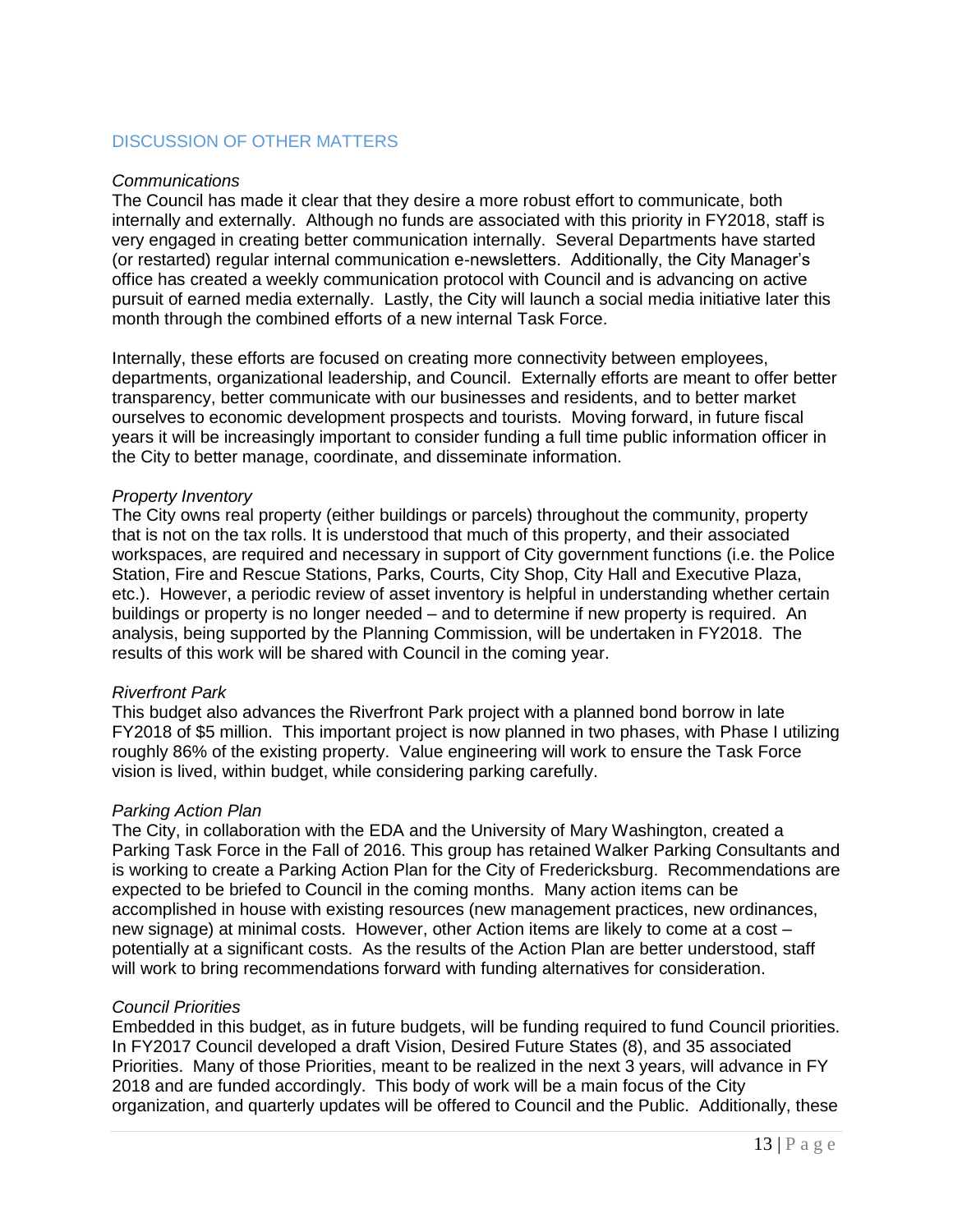# DISCUSSION OF OTHER MATTERS

### *Communications*

The Council has made it clear that they desire a more robust effort to communicate, both internally and externally. Although no funds are associated with this priority in FY2018, staff is very engaged in creating better communication internally. Several Departments have started (or restarted) regular internal communication e-newsletters. Additionally, the City Manager's office has created a weekly communication protocol with Council and is advancing on active pursuit of earned media externally. Lastly, the City will launch a social media initiative later this month through the combined efforts of a new internal Task Force.

Internally, these efforts are focused on creating more connectivity between employees, departments, organizational leadership, and Council. Externally efforts are meant to offer better transparency, better communicate with our businesses and residents, and to better market ourselves to economic development prospects and tourists. Moving forward, in future fiscal years it will be increasingly important to consider funding a full time public information officer in the City to better manage, coordinate, and disseminate information.

### *Property Inventory*

The City owns real property (either buildings or parcels) throughout the community, property that is not on the tax rolls. It is understood that much of this property, and their associated workspaces, are required and necessary in support of City government functions (i.e. the Police Station, Fire and Rescue Stations, Parks, Courts, City Shop, City Hall and Executive Plaza, etc.). However, a periodic review of asset inventory is helpful in understanding whether certain buildings or property is no longer needed – and to determine if new property is required. An analysis, being supported by the Planning Commission, will be undertaken in FY2018. The results of this work will be shared with Council in the coming year.

# *Riverfront Park*

This budget also advances the Riverfront Park project with a planned bond borrow in late FY2018 of \$5 million. This important project is now planned in two phases, with Phase I utilizing roughly 86% of the existing property. Value engineering will work to ensure the Task Force vision is lived, within budget, while considering parking carefully.

### *Parking Action Plan*

The City, in collaboration with the EDA and the University of Mary Washington, created a Parking Task Force in the Fall of 2016. This group has retained Walker Parking Consultants and is working to create a Parking Action Plan for the City of Fredericksburg. Recommendations are expected to be briefed to Council in the coming months. Many action items can be accomplished in house with existing resources (new management practices, new ordinances, new signage) at minimal costs. However, other Action items are likely to come at a cost – potentially at a significant costs. As the results of the Action Plan are better understood, staff will work to bring recommendations forward with funding alternatives for consideration.

### *Council Priorities*

Embedded in this budget, as in future budgets, will be funding required to fund Council priorities. In FY2017 Council developed a draft Vision, Desired Future States (8), and 35 associated Priorities. Many of those Priorities, meant to be realized in the next 3 years, will advance in FY 2018 and are funded accordingly. This body of work will be a main focus of the City organization, and quarterly updates will be offered to Council and the Public. Additionally, these